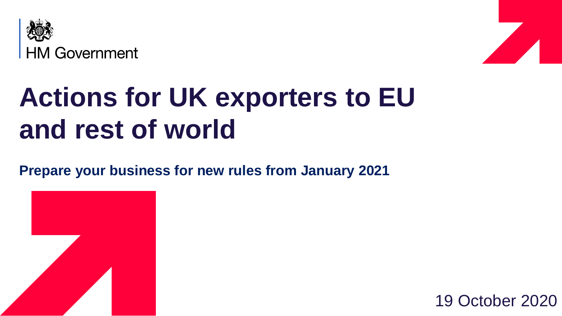



# **Actions for UK exporters to EU and rest of world**

**Prepare your business for new rules from January 2021**



19 October 2020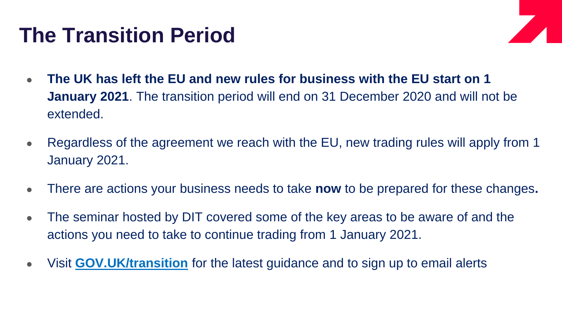### **The Transition Period**



- The UK has left the EU and new rules for business with the EU start on 1 **January 2021**. The transition period will end on 31 December 2020 and will not be extended.
- Regardless of the agreement we reach with the EU, new trading rules will apply from 1 January 2021.
- There are actions your business needs to take **now** to be prepared for these changes**.**
- The seminar hosted by DIT covered some of the key areas to be aware of and the actions you need to take to continue trading from 1 January 2021.
- Visit **[GOV.UK/transition](gov.uk/transition?utm_campaign=transition_p1&utm_medium=organic&utm_source=ogd_dit_drct&utm_content=ala__act0)** for the latest guidance and to sign up to email alerts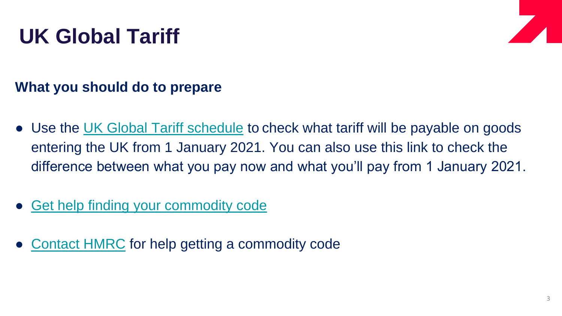## **UK Global Tariff**



- Use the [UK Global Tariff schedule](https://www.gov.uk/check-tariffs-1-january-2021) to check what tariff will be payable on goods entering the UK from 1 January 2021. You can also use this link to check the difference between what you pay now and what you'll pay from 1 January 2021.
- [Get help finding your commodity code](https://www.gov.uk/guidance/finding-commodity-codes-for-imports-or-exports)
- [Contact HMRC](https://www.gov.uk/guidance/ask-hmrc-for-advice-on-classifying-your-goods) for help getting a commodity code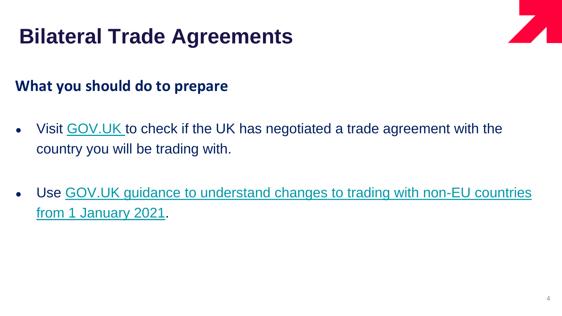### **Bilateral Trade Agreements**

- Visit GOV. UK to check if the UK has negotiated a trade agreement with the country you will be trading with.
- [Use GOV.UK guidance to understand changes to trading with non-EU countries](https://www.gov.uk/guidance/uk-trade-agreements-with-non-eu-countries) from 1 January 2021.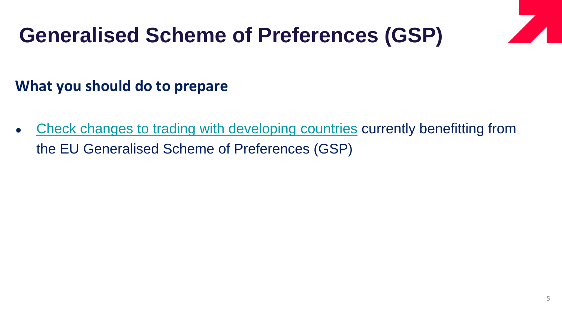## **Generalised Scheme of Preferences (GSP)**

#### **What you should do to prepare**

• [Check changes to trading with developing countries](https://www.gov.uk/guidance/trading-with-developing-nations-during-and-after-the-transition-period) currently benefitting from the EU Generalised Scheme of Preferences (GSP)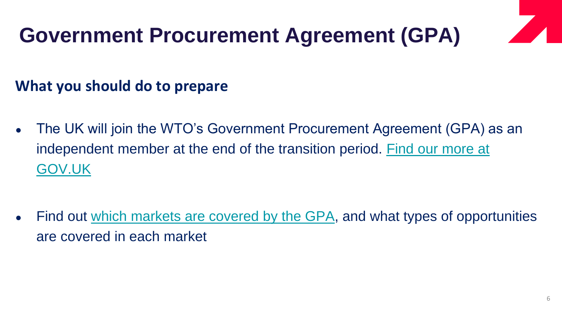## **Government Procurement Agreement (GPA)**

- The UK will join the WTO's Government Procurement Agreement (GPA) as an [independent member at the end of the transition period. Find our more at](https://www.gov.uk/guidance/bidding-for-overseas-contracts-what-to-expect-if-theres-a-no-deal-brexit) GOV.UK
- Find out [which markets are covered by the GPA,](https://www.wto.org/english/tratop_e/gproc_e/gp_app_agree_e.htm) and what types of opportunities are covered in each market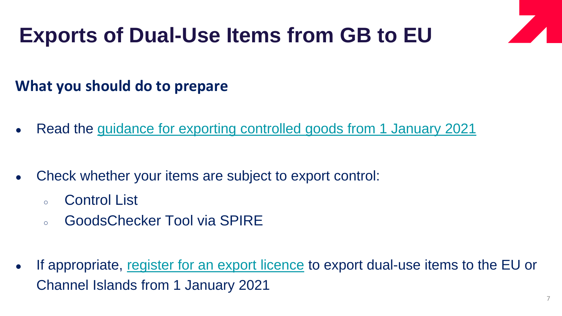### **Exports of Dual-Use Items from GB to EU**

- Read the [guidance for exporting controlled goods from 1 January 2021](https://www.gov.uk/guidance/exporting-controlled-goods-after-eu-exit)
- Check whether your items are subject to export control:
	- Control List
	- GoodsChecker Tool via SPIRE
- If appropriate, [register for an export licence](https://www.spire.trade.gov.uk/spire/fox/espire/LOGIN/login) to export dual-use items to the EU or Channel Islands from 1 January 2021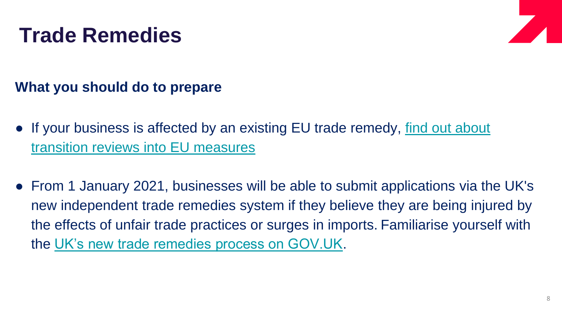### **Trade Remedies**



- If your business is affected by an existing EU trade remedy, find out about transition reviews into EU measures
- From 1 January 2021, businesses will be able to submit applications via the UK's new independent trade remedies system if they believe they are being injured by the effects of unfair trade practices or surges in imports. Familiarise yourself with the [UK's new trade remedies process on GOV.UK.](https://www.gov.uk/government/publications/the-uk-trade-remedies-investigations-process)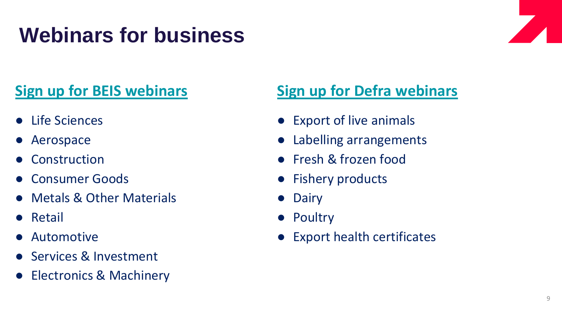## **Webinars for business**

### **[Sign up for BEIS webinars](https://www.workcast.com/ControlUsher.aspx?cpak=2905552366482043&pak=2807339524439725&referrer=BIRD)**

- Life Sciences
- Aerospace
- **Construction**
- Consumer Goods
- Metals & Other Materials
- Retail
- **Automotive**
- **Services & Investment**
- Electronics & Machinery

#### **[Sign up for Defra webinars](https://www.gov.uk/guidance/webinars-for-exporters-of-animals-and-products-of-animal-origin-to-the-eu)**

- Export of live animals
- Labelling arrangements
- Fresh & frozen food
- Fishery products
- Dairy
- Poultry
- Export health certificates